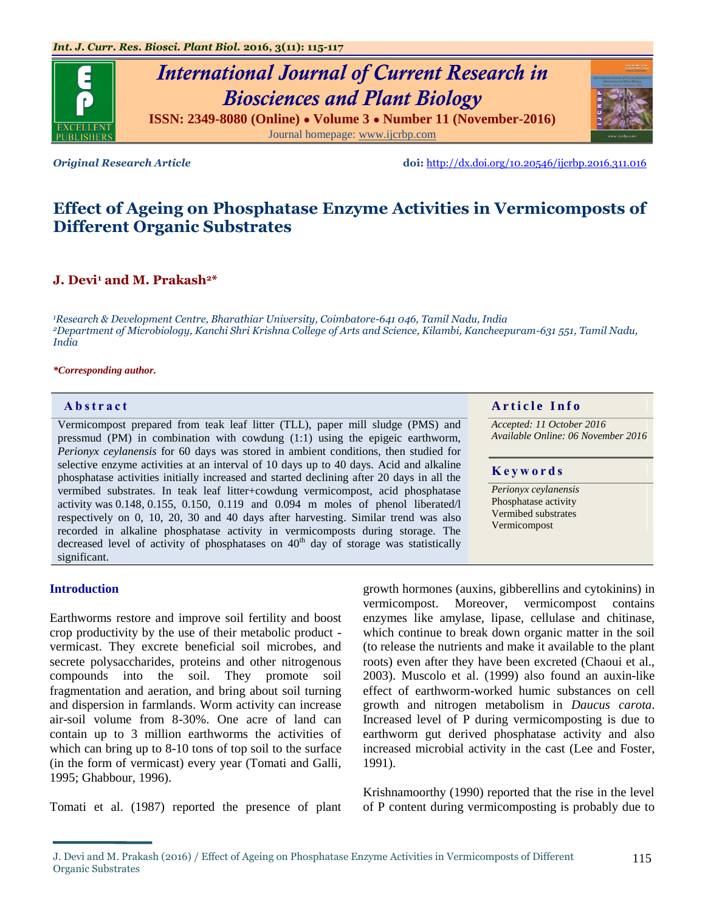

*Original Research Article* **doi:** <http://dx.doi.org/10.20546/ijcrbp.2016.311.016>

# **Effect of Ageing on Phosphatase Enzyme Activities in Vermicomposts of Different Organic Substrates**

# **J. Devi<sup>1</sup> and M. Prakash2\***

*<sup>1</sup>Research & Development Centre, Bharathiar University, Coimbatore-641 046, Tamil Nadu, India <sup>2</sup>Department of Microbiology, Kanchi Shri Krishna College of Arts and Science, Kilambi, Kancheepuram-631 551, Tamil Nadu, India*

#### *\*Corresponding author.*

Vermicompost prepared from teak leaf litter (TLL), paper mill sludge (PMS) and pressmud (PM) in combination with cowdung (1:1) using the epigeic earthworm, *Perionyx ceylanensis* for 60 days was stored in ambient conditions, then studied for selective enzyme activities at an interval of 10 days up to 40 days. Acid and alkaline phosphatase activities initially increased and started declining after 20 days in all the vermibed substrates. In teak leaf litter+cowdung vermicompost, acid phosphatase activity was  $0.148$ ,  $0.155$ ,  $0.150$ ,  $0.119$  and  $0.094$  m moles of phenol liberated/l respectively on 0, 10, 20, 30 and 40 days after harvesting. Similar trend was also recorded in alkaline phosphatase activity in vermicomposts during storage. The decreased level of activity of phosphatases on  $40<sup>th</sup>$  day of storage was statistically significant.

#### **A b s t r a c t A r t i c l e I n f o**

*Accepted: 11 October 2016 Available Online: 06 November 2016*

### **K e y w o r d s**

*Perionyx ceylanensis* Phosphatase activity Vermibed substrates Vermicompost

### **Introduction**

Earthworms restore and improve soil fertility and boost crop productivity by the use of their metabolic product vermicast. They excrete beneficial soil microbes, and secrete polysaccharides, proteins and other nitrogenous compounds into the soil. They promote soil fragmentation and aeration, and bring about soil turning and dispersion in farmlands. Worm activity can increase air-soil volume from 8-30%. One acre of land can contain up to 3 million earthworms the activities of which can bring up to 8-10 tons of top soil to the surface (in the form of vermicast) every year (Tomati and Galli, 1995; Ghabbour, 1996).

Tomati et al. (1987) reported the presence of plant

growth hormones (auxins, gibberellins and cytokinins) in vermicompost. Moreover, vermicompost contains enzymes like amylase, lipase, cellulase and chitinase, which continue to break down organic matter in the soil (to release the nutrients and make it available to the plant roots) even after they have been excreted (Chaoui et al., 2003). Muscolo et al. (1999) also found an auxin-like effect of earthworm-worked humic substances on cell growth and nitrogen metabolism in *Daucus carota*. Increased level of P during vermicomposting is due to earthworm gut derived phosphatase activity and also increased microbial activity in the cast (Lee and Foster, 1991).

Krishnamoorthy (1990) reported that the rise in the level of P content during vermicomposting is probably due to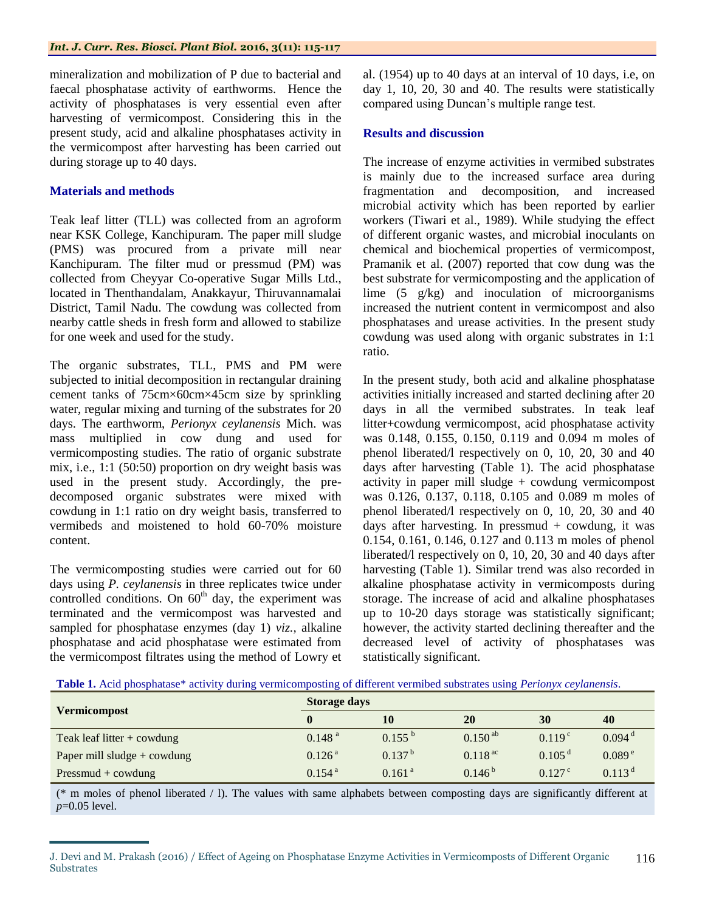mineralization and mobilization of P due to bacterial and faecal phosphatase activity of earthworms. Hence the activity of phosphatases is very essential even after harvesting of vermicompost. Considering this in the present study, acid and alkaline phosphatases activity in the vermicompost after harvesting has been carried out during storage up to 40 days.

# **Materials and methods**

Teak leaf litter (TLL) was collected from an agroform near KSK College, Kanchipuram. The paper mill sludge (PMS) was procured from a private mill near Kanchipuram. The filter mud or pressmud (PM) was collected from Cheyyar Co-operative Sugar Mills Ltd., located in Thenthandalam, Anakkayur, Thiruvannamalai District, Tamil Nadu. The cowdung was collected from nearby cattle sheds in fresh form and allowed to stabilize for one week and used for the study.

The organic substrates, TLL, PMS and PM were subjected to initial decomposition in rectangular draining cement tanks of 75cm×60cm×45cm size by sprinkling water, regular mixing and turning of the substrates for 20 days. The earthworm, *Perionyx ceylanensis* Mich. was mass multiplied in cow dung and used for vermicomposting studies. The ratio of organic substrate mix, i.e., 1:1 (50:50) proportion on dry weight basis was used in the present study. Accordingly, the predecomposed organic substrates were mixed with cowdung in 1:1 ratio on dry weight basis, transferred to vermibeds and moistened to hold 60-70% moisture content.

The vermicomposting studies were carried out for 60 days using *P. ceylanensis* in three replicates twice under controlled conditions. On  $60<sup>th</sup>$  day, the experiment was terminated and the vermicompost was harvested and sampled for phosphatase enzymes (day 1) *viz.,* alkaline phosphatase and acid phosphatase were estimated from the vermicompost filtrates using the method of Lowry et al. (1954) up to 40 days at an interval of 10 days, i.e, on day 1, 10, 20, 30 and 40. The results were statistically compared using Duncan's multiple range test.

## **Results and discussion**

The increase of enzyme activities in vermibed substrates is mainly due to the increased surface area during fragmentation and decomposition, and increased microbial activity which has been reported by earlier workers (Tiwari et al., 1989). While studying the effect of different organic wastes, and microbial inoculants on chemical and biochemical properties of vermicompost, Pramanik et al. (2007) reported that cow dung was the best substrate for vermicomposting and the application of lime (5 g/kg) and inoculation of microorganisms increased the nutrient content in vermicompost and also phosphatases and urease activities. In the present study cowdung was used along with organic substrates in 1:1 ratio.

In the present study, both acid and alkaline phosphatase activities initially increased and started declining after 20 days in all the vermibed substrates. In teak leaf litter+cowdung vermicompost, acid phosphatase activity was 0.148, 0.155, 0.150, 0.119 and 0.094 m moles of phenol liberated/l respectively on 0, 10, 20, 30 and 40 days after harvesting (Table 1). The acid phosphatase activity in paper mill sludge + cowdung vermicompost was 0.126, 0.137, 0.118, 0.105 and 0.089 m moles of phenol liberated/l respectively on 0, 10, 20, 30 and 40 days after harvesting. In pressmud  $+$  cowdung, it was 0.154, 0.161, 0.146, 0.127 and 0.113 m moles of phenol liberated/l respectively on 0, 10, 20, 30 and 40 days after harvesting (Table 1). Similar trend was also recorded in alkaline phosphatase activity in vermicomposts during storage. The increase of acid and alkaline phosphatases up to 10-20 days storage was statistically significant; however, the activity started declining thereafter and the decreased level of activity of phosphatases was statistically significant.

| <b>Vermicompost</b>           | <b>Storage days</b>  |                    |              |                      |                      |  |
|-------------------------------|----------------------|--------------------|--------------|----------------------|----------------------|--|
|                               |                      | 10                 | <b>20</b>    | 30                   | 40                   |  |
| Teak leaf litter $+$ cowdung  | 0.148 <sup>a</sup>   | $0.155^{b}$        | $0.150^{ab}$ | 0.119 <sup>c</sup>   | $0.094$ <sup>d</sup> |  |
| Paper mill sludge $+$ cowdung | 0.126 <sup>a</sup>   | $0.137^{b}$        | $0.118^{ac}$ | $0.105$ <sup>d</sup> | 0.089e               |  |
| $Pressmud + cowdung$          | $0.154$ <sup>a</sup> | 0.161 <sup>a</sup> | $0.146^{b}$  | $0.127^{\circ}$      | $0.113$ <sup>d</sup> |  |

(\* m moles of phenol liberated / l). The values with same alphabets between composting days are significantly different at *p*=0.05 level.

J. Devi and M. Prakash (2016) / Effect of Ageing on Phosphatase Enzyme Activities in Vermicomposts of Different Organic **Substrates** 116